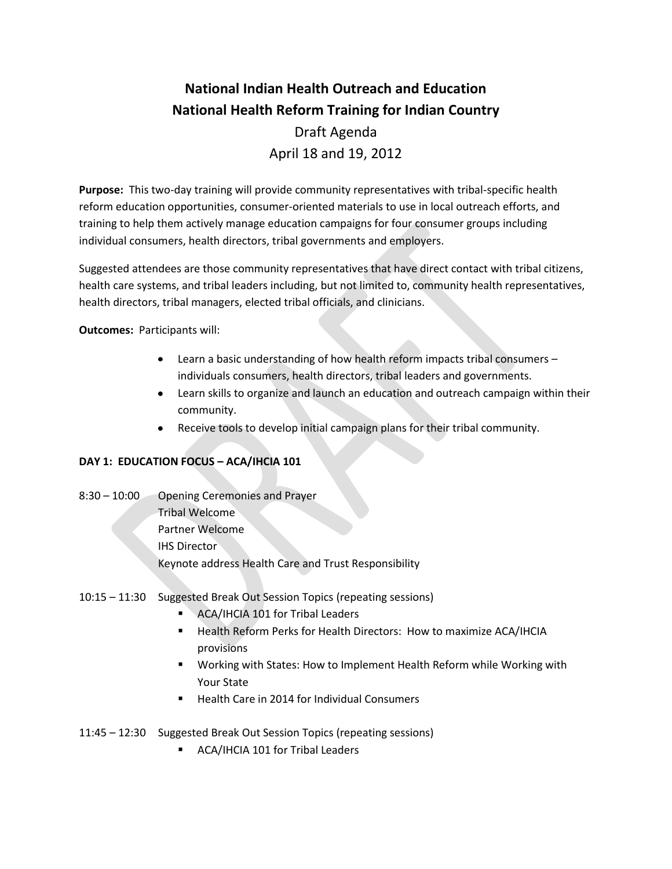## **National Indian Health Outreach and Education National Health Reform Training for Indian Country**  Draft Agenda April 18 and 19, 2012

**Purpose:** This two-day training will provide community representatives with tribal-specific health reform education opportunities, consumer-oriented materials to use in local outreach efforts, and training to help them actively manage education campaigns for four consumer groups including individual consumers, health directors, tribal governments and employers.

Suggested attendees are those community representatives that have direct contact with tribal citizens, health care systems, and tribal leaders including, but not limited to, community health representatives, health directors, tribal managers, elected tribal officials, and clinicians.

**Outcomes:** Participants will:

- Learn a basic understanding of how health reform impacts tribal consumers individuals consumers, health directors, tribal leaders and governments.
- Learn skills to organize and launch an education and outreach campaign within their community.
- Receive tools to develop initial campaign plans for their tribal community.

## **DAY 1: EDUCATION FOCUS – ACA/IHCIA 101**

- 8:30 10:00 Opening Ceremonies and Prayer Tribal Welcome Partner Welcome IHS Director Keynote address Health Care and Trust Responsibility
- 10:15 11:30 Suggested Break Out Session Topics (repeating sessions)
	- ACA/IHCIA 101 for Tribal Leaders
	- Health Reform Perks for Health Directors: How to maximize ACA/IHCIA provisions
	- Working with States: How to Implement Health Reform while Working with Your State
	- Health Care in 2014 for Individual Consumers
- 11:45 12:30 Suggested Break Out Session Topics (repeating sessions)
	- **ACA/IHCIA 101 for Tribal Leaders**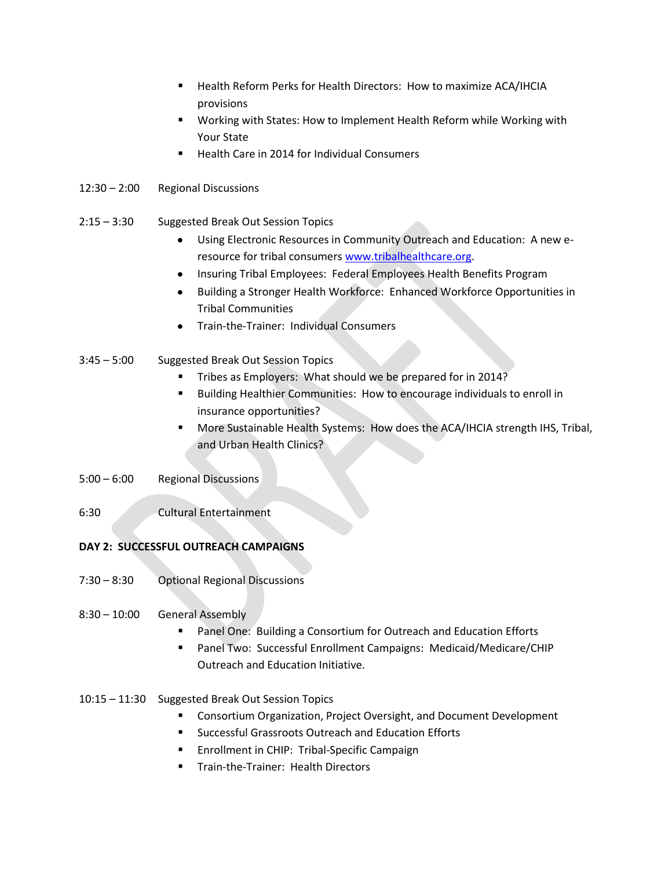- Health Reform Perks for Health Directors: How to maximize ACA/IHCIA provisions
- Working with States: How to Implement Health Reform while Working with Your State
- Health Care in 2014 for Individual Consumers
- 12:30 2:00 Regional Discussions
- 2:15 3:30 Suggested Break Out Session Topics
	- Using Electronic Resources in Community Outreach and Education: A new eresource for tribal consumers [www.tribalhealthcare.org.](http://www.tribalhealthcare.org/)
	- Insuring Tribal Employees: Federal Employees Health Benefits Program
	- Building a Stronger Health Workforce: Enhanced Workforce Opportunities in Tribal Communities
	- Train-the-Trainer: Individual Consumers
- 3:45 5:00 Suggested Break Out Session Topics
	- Tribes as Employers: What should we be prepared for in 2014?
	- Building Healthier Communities: How to encourage individuals to enroll in insurance opportunities?
	- More Sustainable Health Systems: How does the ACA/IHCIA strength IHS, Tribal, and Urban Health Clinics?
- 5:00 6:00 Regional Discussions
- 6:30 Cultural Entertainment

## **DAY 2: SUCCESSFUL OUTREACH CAMPAIGNS**

- 7:30 8:30 Optional Regional Discussions
- 8:30 10:00 General Assembly
	- Panel One: Building a Consortium for Outreach and Education Efforts
	- Panel Two: Successful Enrollment Campaigns: Medicaid/Medicare/CHIP Outreach and Education Initiative.
- 10:15 11:30 Suggested Break Out Session Topics
	- **EXP** Consortium Organization, Project Oversight, and Document Development
	- Successful Grassroots Outreach and Education Efforts
	- **Enrollment in CHIP: Tribal-Specific Campaign**
	- Train-the-Trainer: Health Directors